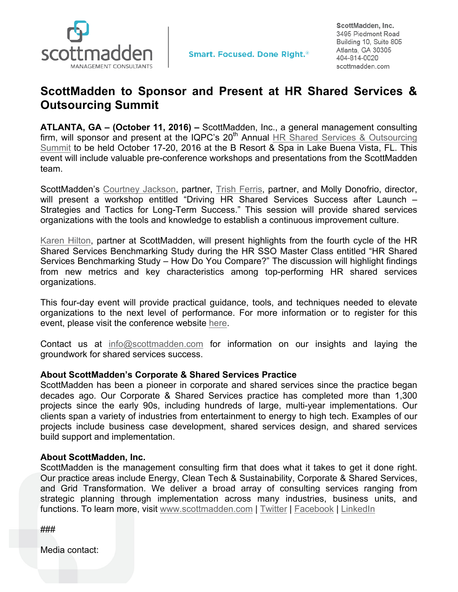

ScottMadden, Inc. 3495 Piedmont Road Building 10, Suite 805 Atlanta, GA 30305 404-814-0020 scottmadden.com

## **ScottMadden to Sponsor and Present at HR Shared Services & Outsourcing Summit**

**ATLANTA, GA – (October 11, 2016) –** ScottMadden, Inc., a general management consulting firm, will sponsor and present at the IQPC's 20<sup>th</sup> Annual HR Shared Services & Outsourcing Summit to be held October 17-20, 2016 at the B Resort & Spa in Lake Buena Vista, FL. This event will include valuable pre-conference workshops and presentations from the ScottMadden team.

ScottMadden's Courtney Jackson, partner, Trish Ferris, partner, and Molly Donofrio, director, will present a workshop entitled "Driving HR Shared Services Success after Launch – Strategies and Tactics for Long-Term Success." This session will provide shared services organizations with the tools and knowledge to establish a continuous improvement culture.

Karen Hilton, partner at ScottMadden, will present highlights from the fourth cycle of the HR Shared Services Benchmarking Study during the HR SSO Master Class entitled "HR Shared Services Benchmarking Study – How Do You Compare?" The discussion will highlight findings from new metrics and key characteristics among top-performing HR shared services organizations.

This four-day event will provide practical guidance, tools, and techniques needed to elevate organizations to the next level of performance. For more information or to register for this event, please visit the conference website here.

Contact us at info@scottmadden.com for information on our insights and laying the groundwork for shared services success.

## **About ScottMadden's Corporate & Shared Services Practice**

ScottMadden has been a pioneer in corporate and shared services since the practice began decades ago. Our Corporate & Shared Services practice has completed more than 1,300 projects since the early 90s, including hundreds of large, multi-year implementations. Our clients span a variety of industries from entertainment to energy to high tech. Examples of our projects include business case development, shared services design, and shared services build support and implementation.

## **About ScottMadden, Inc.**

ScottMadden is the management consulting firm that does what it takes to get it done right. Our practice areas include Energy, Clean Tech & Sustainability, Corporate & Shared Services, and Grid Transformation. We deliver a broad array of consulting services ranging from strategic planning through implementation across many industries, business units, and functions. To learn more, visit www.scottmadden.com | Twitter | Facebook | LinkedIn

###

Media contact: